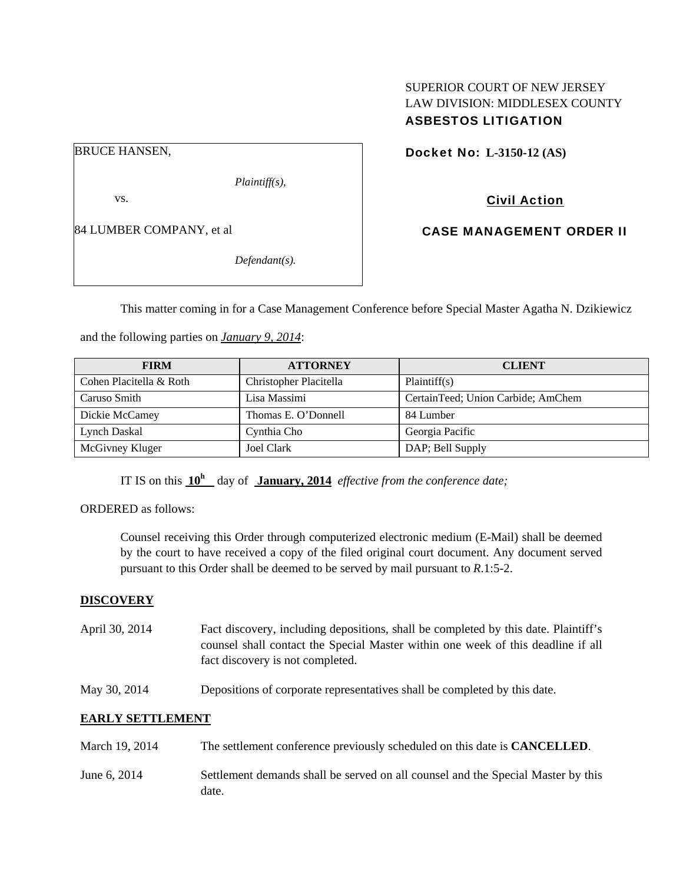## SUPERIOR COURT OF NEW JERSEY LAW DIVISION: MIDDLESEX COUNTY ASBESTOS LITIGATION

BRUCE HANSEN,

*Plaintiff(s),* 

vs.

84 LUMBER COMPANY, et al

*Defendant(s).* 

Docket No: **L-3150-12 (AS)** 

Civil Action

CASE MANAGEMENT ORDER II

This matter coming in for a Case Management Conference before Special Master Agatha N. Dzikiewicz

and the following parties on *January 9, 2014*:

| <b>FIRM</b>             | <b>ATTORNEY</b>        | <b>CLIENT</b>                      |
|-------------------------|------------------------|------------------------------------|
| Cohen Placitella & Roth | Christopher Placitella | Plaintiff(s)                       |
| Caruso Smith            | Lisa Massimi           | CertainTeed; Union Carbide; AmChem |
| Dickie McCamey          | Thomas E. O'Donnell    | 84 Lumber                          |
| Lynch Daskal            | Cynthia Cho            | Georgia Pacific                    |
| McGivney Kluger         | Joel Clark             | DAP; Bell Supply                   |

IT IS on this  $10^h$  day of January, 2014 *effective from the conference date*;

ORDERED as follows:

Counsel receiving this Order through computerized electronic medium (E-Mail) shall be deemed by the court to have received a copy of the filed original court document. Any document served pursuant to this Order shall be deemed to be served by mail pursuant to *R*.1:5-2.

## **DISCOVERY**

- April 30, 2014 Fact discovery, including depositions, shall be completed by this date. Plaintiff's counsel shall contact the Special Master within one week of this deadline if all fact discovery is not completed.
- May 30, 2014 Depositions of corporate representatives shall be completed by this date.

## **EARLY SETTLEMENT**

| March 19, 2014 | The settlement conference previously scheduled on this date is <b>CANCELLED</b> .         |
|----------------|-------------------------------------------------------------------------------------------|
| June 6, 2014   | Settlement demands shall be served on all counsel and the Special Master by this<br>date. |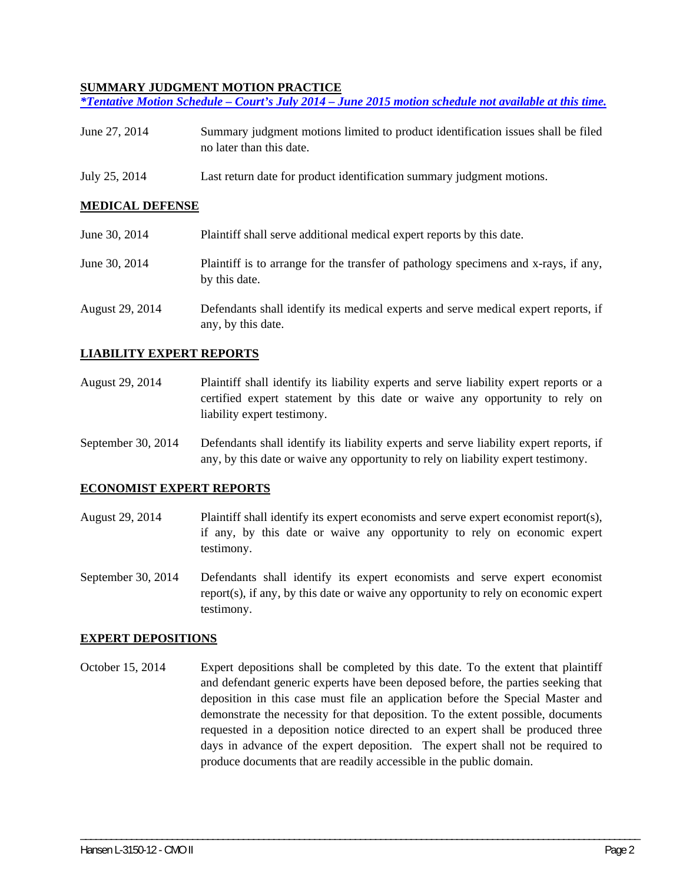#### **SUMMARY JUDGMENT MOTION PRACTICE**

*\*Tentative Motion Schedule – Court's July 2014 – June 2015 motion schedule not available at this time.* 

- June 27, 2014 Summary judgment motions limited to product identification issues shall be filed no later than this date.
- July 25, 2014 Last return date for product identification summary judgment motions.

#### **MEDICAL DEFENSE**

| June 30, 2014   | Plaintiff shall serve additional medical expert reports by this date.                                    |
|-----------------|----------------------------------------------------------------------------------------------------------|
| June 30, 2014   | Plaintiff is to arrange for the transfer of pathology specimens and x-rays, if any,<br>by this date.     |
| August 29, 2014 | Defendants shall identify its medical experts and serve medical expert reports, if<br>any, by this date. |

#### **LIABILITY EXPERT REPORTS**

- August 29, 2014 Plaintiff shall identify its liability experts and serve liability expert reports or a certified expert statement by this date or waive any opportunity to rely on liability expert testimony.
- September 30, 2014 Defendants shall identify its liability experts and serve liability expert reports, if any, by this date or waive any opportunity to rely on liability expert testimony.

#### **ECONOMIST EXPERT REPORTS**

- August 29, 2014 Plaintiff shall identify its expert economists and serve expert economist report(s), if any, by this date or waive any opportunity to rely on economic expert testimony.
- September 30, 2014 Defendants shall identify its expert economists and serve expert economist report(s), if any, by this date or waive any opportunity to rely on economic expert testimony.

#### **EXPERT DEPOSITIONS**

October 15, 2014 Expert depositions shall be completed by this date. To the extent that plaintiff and defendant generic experts have been deposed before, the parties seeking that deposition in this case must file an application before the Special Master and demonstrate the necessity for that deposition. To the extent possible, documents requested in a deposition notice directed to an expert shall be produced three days in advance of the expert deposition. The expert shall not be required to produce documents that are readily accessible in the public domain.

\_\_\_\_\_\_\_\_\_\_\_\_\_\_\_\_\_\_\_\_\_\_\_\_\_\_\_\_\_\_\_\_\_\_\_\_\_\_\_\_\_\_\_\_\_\_\_\_\_\_\_\_\_\_\_\_\_\_\_\_\_\_\_\_\_\_\_\_\_\_\_\_\_\_\_\_\_\_\_\_\_\_\_\_\_\_\_\_\_\_\_\_\_\_\_\_\_\_\_\_\_\_\_\_\_\_\_\_\_\_